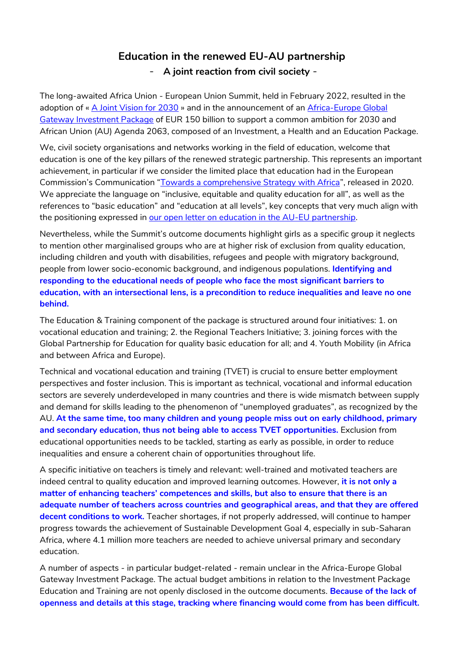## **Education in the renewed EU-AU partnership**  - **A joint reaction from civil society** -

The long-awaited Africa Union - European Union Summit, held in February 2022, resulted in the adoption of « [A Joint Vision for 2030](https://www.consilium.europa.eu/media/54412/final_declaration-en.pdfhttps:/www.consilium.europa.eu/media/54412/final_declaration-en.pdf) » and in the announcement of an [Africa-Europe Global](https://ec.europa.eu/info/publications/factsheets-global-gateway_en)  [Gateway Investment Package](https://ec.europa.eu/info/publications/factsheets-global-gateway_en) of EUR 150 billion to support a common ambition for 2030 and African Union (AU) Agenda 2063, composed of an Investment, a Health and an Education Package.

We, civil society organisations and networks working in the field of education, welcome that education is one of the key pillars of the renewed strategic partnership. This represents an important achievement, in particular if we consider the limited place that education had in the European Commission's Communication "[Towards a comprehensive Strategy with Africa](https://ec.europa.eu/international-partnerships/system/files/communication-eu-africa-strategy-join-2020-4-final_en.pdf)", released in 2020. We appreciate the language on "inclusive, equitable and quality education for all", as well as the references to "basic education" and "education at all levels", key concepts that very much align with the positioning expressed in [our open letter on education in the AU-EU partnership.](https://campaignforeducation.org/en/2021/10/19/joint-open-letter-on-education-in-the-eu-au-partnership/https:/campaignforeducation.org/en/2021/10/19/joint-open-letter-on-education-in-the-eu-au-partnership/)

Nevertheless, while the Summit's outcome documents highlight girls as a specific group it neglects to mention other marginalised groups who are at higher risk of exclusion from quality education, including children and youth with disabilities, refugees and people with migratory background, people from lower socio-economic background, and indigenous populations. **Identifying and responding to the educational needs of people who face the most significant barriers to education, with an intersectional lens, is a precondition to reduce inequalities and leave no one behind.** 

The Education & Training component of the package is structured around four initiatives: 1. on vocational education and training; 2. the Regional Teachers Initiative; 3. joining forces with the Global Partnership for Education for quality basic education for all; and 4. Youth Mobility (in Africa and between Africa and Europe).

Technical and vocational education and training (TVET) is crucial to ensure better employment perspectives and foster inclusion. This is important as technical, vocational and informal education sectors are severely underdeveloped in many countries and there is wide mismatch between supply and demand for skills leading to the phenomenon of "unemployed graduates", as recognized by the AU. **At the same time, too many children and young people miss out on early childhood, primary and secondary education, thus not being able to access TVET opportunities.** Exclusion from educational opportunities needs to be tackled, starting as early as possible, in order to reduce inequalities and ensure a coherent chain of opportunities throughout life.

A specific initiative on teachers is timely and relevant: well-trained and motivated teachers are indeed central to quality education and improved learning outcomes. However, **it is not only a matter of enhancing teachers' competences and skills, but also to ensure that there is an adequate number of teachers across countries and geographical areas, and that they are offered decent conditions to work.** Teacher shortages, if not properly addressed, will continue to hamper progress towards the achievement of Sustainable Development Goal 4, especially in sub-Saharan Africa, where 4.1 million more teachers are needed to achieve universal primary and secondary education.

A number of aspects - in particular budget-related - remain unclear in the Africa-Europe Global Gateway Investment Package. The actual budget ambitions in relation to the Investment Package Education and Training are not openly disclosed in the outcome documents. **Because of the lack of openness and details at this stage, tracking where financing would come from has been difficult.**